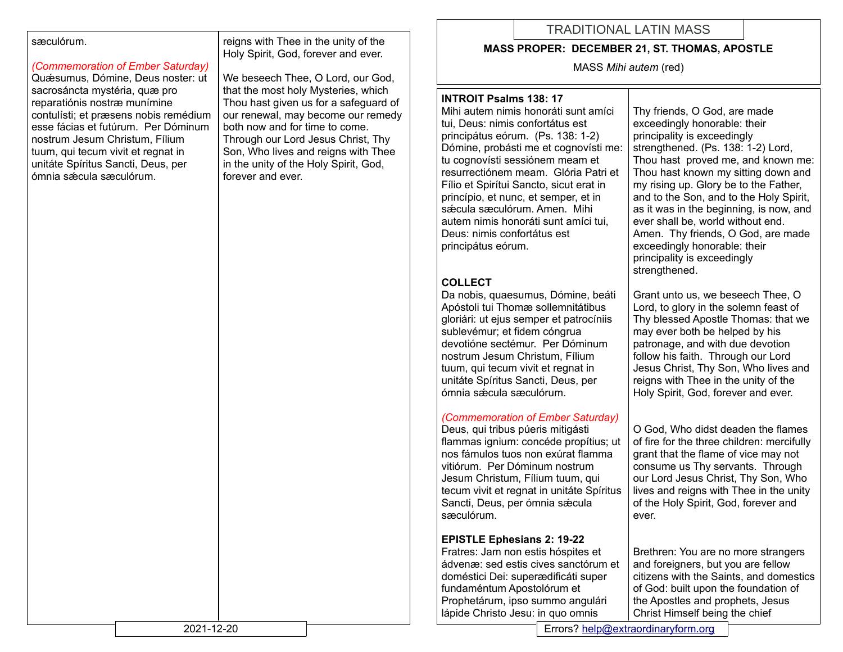#### sæculórum.

## *(Commemoration of Ember Saturday)*

Quǽsumus, Dómine, Deus noster: ut sacrosáncta mystéria, quæ pro reparatiónis nostræ munímine contulísti; et præsens nobis remédium esse fácias et futúrum. Per Dóminum nostrum Jesum Christum, Fílium tuum, qui tecum vivit et regnat in unitáte Spíritus Sancti, Deus, per ómnia sǽcula sæculórum.

reigns with Thee in the unity of the Holy Spirit, God, forever and ever.

We beseech Thee, O Lord, our God, that the most holy Mysteries, which Thou hast given us for a safeguard of our renewal, may become our remedy both now and for time to come. Through our Lord Jesus Christ, Thy Son, Who lives and reigns with Thee in the unity of the Holy Spirit, God, forever and ever.

## TRADITIONAL LATIN MASS

#### **MASS PROPER: DECEMBER 21, ST. THOMAS, APOSTLE**

MASS *Mihi autem* (red)

#### **INTROIT Psalms 138: 17**

Mihi autem nimis honoráti sunt amíci tui, Deus: nimis confortátus est principátus eórum. (Ps. 138: 1-2) Dómine, probásti me et cognovísti me: tu cognovísti sessiónem meam et resurrectiónem meam. Glória Patri et Fílio et Spirítui Sancto, sicut erat in princípio, et nunc, et semper, et in sæcula sæculórum. Amen. Mihi autem nimis honoráti sunt amíci tui, Deus: nimis confortátus est principátus eórum.

#### **COLLECT**

Da nobis, quaesumus, Dómine, beáti Apóstoli tui Thomæ sollemnitátibus gloriári: ut ejus semper et patrocíniis sublevémur; et fidem cóngrua devotióne sectémur. Per Dóminum nostrum Jesum Christum, Fílium tuum, qui tecum vivit et regnat in unitáte Spíritus Sancti, Deus, per ómnia sǽcula sæculórum.

#### *(Commemoration of Ember Saturday)*

Deus, qui tribus púeris mitigásti flammas ignium: concéde propítius; ut nos fámulos tuos non exúrat flamma vitiórum. Per Dóminum nostrum Jesum Christum, Fílium tuum, qui tecum vivit et regnat in unitáte Spíritus Sancti, Deus, per ómnia sæcula sæculórum.

#### **EPISTLE Ephesians 2: 19-22**

Fratres: Jam non estis hóspites et ádvenæ: sed estis cives sanctórum et doméstici Dei: superædificáti super fundaméntum Apostolórum et Prophetárum, ipso summo angulári lápide Christo Jesu: in quo omnis

Thy friends, O God, are made exceedingly honorable: their principality is exceedingly strengthened. (Ps. 138: 1-2) Lord, Thou hast proved me, and known me: Thou hast known my sitting down and my rising up. Glory be to the Father, and to the Son, and to the Holy Spirit, as it was in the beginning, is now, and ever shall be, world without end. Amen. Thy friends, O God, are made exceedingly honorable: their principality is exceedingly strengthened.

Grant unto us, we beseech Thee, O Lord, to glory in the solemn feast of Thy blessed Apostle Thomas: that we may ever both be helped by his patronage, and with due devotion follow his faith. Through our Lord Jesus Christ, Thy Son, Who lives and reigns with Thee in the unity of the Holy Spirit, God, forever and ever.

O God, Who didst deaden the flames of fire for the three children: mercifully grant that the flame of vice may not consume us Thy servants. Through our Lord Jesus Christ, Thy Son, Who lives and reigns with Thee in the unity of the Holy Spirit, God, forever and ever.

Brethren: You are no more strangers and foreigners, but you are fellow citizens with the Saints, and domestics of God: built upon the foundation of the Apostles and prophets, Jesus Christ Himself being the chief

2021-12-20 Errors? [help@extraordinaryform.org](mailto:help@extraordinaryform.org)